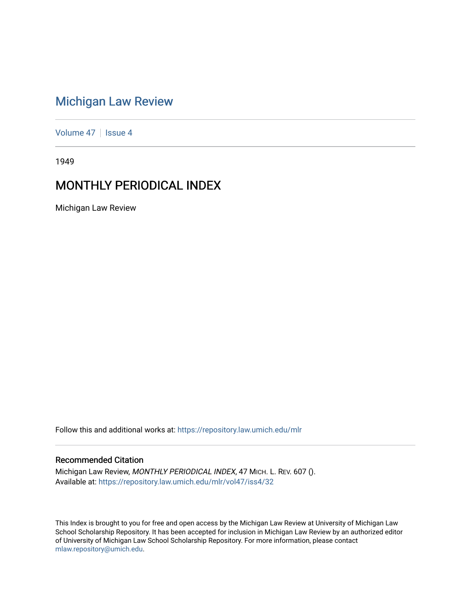# [Michigan Law Review](https://repository.law.umich.edu/mlr)

[Volume 47](https://repository.law.umich.edu/mlr/vol47) | [Issue 4](https://repository.law.umich.edu/mlr/vol47/iss4)

1949

# MONTHLY PERIODICAL INDEX

Michigan Law Review

Follow this and additional works at: [https://repository.law.umich.edu/mlr](https://repository.law.umich.edu/mlr?utm_source=repository.law.umich.edu%2Fmlr%2Fvol47%2Fiss4%2F32&utm_medium=PDF&utm_campaign=PDFCoverPages) 

# Recommended Citation

Michigan Law Review, MONTHLY PERIODICAL INDEX, 47 MICH. L. REV. 607 (). Available at: [https://repository.law.umich.edu/mlr/vol47/iss4/32](https://repository.law.umich.edu/mlr/vol47/iss4/32?utm_source=repository.law.umich.edu%2Fmlr%2Fvol47%2Fiss4%2F32&utm_medium=PDF&utm_campaign=PDFCoverPages) 

This Index is brought to you for free and open access by the Michigan Law Review at University of Michigan Law School Scholarship Repository. It has been accepted for inclusion in Michigan Law Review by an authorized editor of University of Michigan Law School Scholarship Repository. For more information, please contact [mlaw.repository@umich.edu.](mailto:mlaw.repository@umich.edu)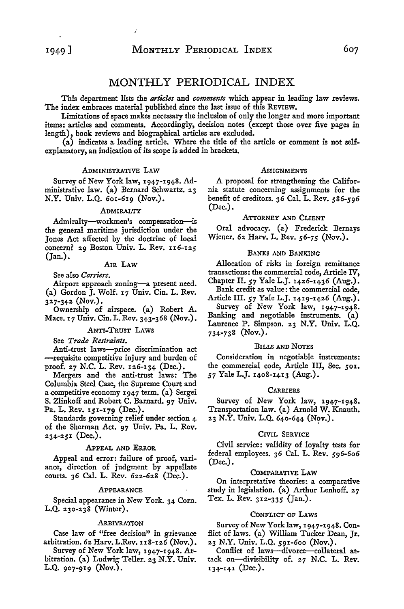# MONTHLY PERIODICAL INDEX

This department lists the *articles* and *comments* which appear in leading law reviews. The index embraces material published since the last issue of this REVIEW.

Limitations of space makes necessary the inclusion of only the longer and more important items: articles and comments. Accordingly, decision notes (except those over five pages in length), book reviews and biographical articles are excluded.

(a) indicates a leading article. Where the title of the article or comment is not selfexplanatory, an indication of its scope is added in brackets.

#### ADMINISTRATIVE LAW

 $\overline{1}$ 

Survey of New York law, 1947-1948. Administrative law. (a) Bernard Schwartz. 23 N.Y. Univ. L.Q. 601-619 (Nov.).

#### ADMIRALTY

Admiralty-workmen's compensation-is the general maritime jurisdiction under the Jones Act affected by the doctrine of local concern? 29 Boston Univ. L. Rev.  $116-125$ (Jan.).

# AIR LAW

See also *Carriers.* 

Airport approach zoning-a present need. (a) Gordon J. Wolf. 17 Univ. Cin. L. Rev. 327-342 (Nov.).

Ownership of airspace. (a) Robert A. Mace. 17 Univ. Cin. L. Rev. 343-368 (Nov.).

# ANTI-TRUST LAWS

See *Trade Restraints.* 

Anti-trust laws-price discrimination act -requisite competitive injury and burden of proof. 27 N.C. L. Rev. 126-134 (Dec.).

Mergers and the anti-trust laws: The Columbia Steel Case, the Supreme Court and a competitive economy 1947 term. (a) Sergei S. Zlinkoff and Robert C. Barnard. 97 Univ. Pa. L. Rev. 151-179 (Dec.).

Standards governing relief under section 4 of the Sherman Act. 97 Univ. Pa. L. Rev.  $234 - 251$  (Dec.).

#### APPEAL AND ERROR

Appeal and error: failure of proof, variance, direction of judgment by appellate courts. 36 Cal. L. Rev. 622-628 (Dec.).

#### APPEARANCE

Special appearance in New York. 34 Corn.  $L.Q. 230-238$  (Winter).

#### ARBITRATION

Case law of "free decision" in grievance arbitration. 62 Harv. L.Rev. 118-126 (Nov.).

Survey of New York law, 1947-1948. Arbitration. (a) Ludwig Teller. 23 N.Y. Univ. L.Q. 907-919 (Nov.).

#### **ASSIGNMENTS**

A proposal for strengthening the California statute concerning assignments for the benefit of creditors. *36* Cal. L. Rev. *586-596*  (Dec.).

## ATTORNEY AND CLIENT

Oral advocacy. (a) Frederick Bernays Wiener. 62. Harv. L. Rev. *56-75* (Nov.).

## BANKS AND BANKING

Allocation of risks in foreign remittance transactions: the commercial code, Article IV, Chapter II. 57 Yale L.J. 1426-1436 (Aug.).

Bank credit as value: the commercial code,

Article III. *57* Yale L.J. 1419-1426 (Aug.). Survey of New York law, 1947-1948. Banking and negotiable instruments. (a) Laurence P. Simpson. 23 N.Y. Univ. L.Q. 734-738 (Nov.).

# BILLS AND NOTES

Consideration in negotiable instruments: the commercial code, Article III, Sec. 501. *57* Yale L.J. 1408-1413 (Aug.).

#### **CARRIERS**

Survey of New York law, 1947-1948. Transportation law. (a) Arnold W. Knauth. 23 N.Y. Univ. L.Q. 640-644 (Nov.).

#### CIVIL SERVICE

Civil service: validity of loyalty tests for federal employees. *36* Cal. L. Rev. *596-606*  (Dec.).

# COMPARATIVE LAW

On interpretative theories: a comparative study in legislation. (a) Arthur Lenhoff. 27 Tex. L. Rev. 312.-335 (Jan.).

# CONFLICT OF LAWS

Survey of New York law, 1947-1948. Conflict of laws. (a) William Tucker Dean, Jr. 2.3 N.Y. Univ. L.Q. 591-600 (Nov.).

Conflict of laws-divorce-collateral attack on-divisibility of.  $27$  N.C. L. Rev. 134-141 (Dec.).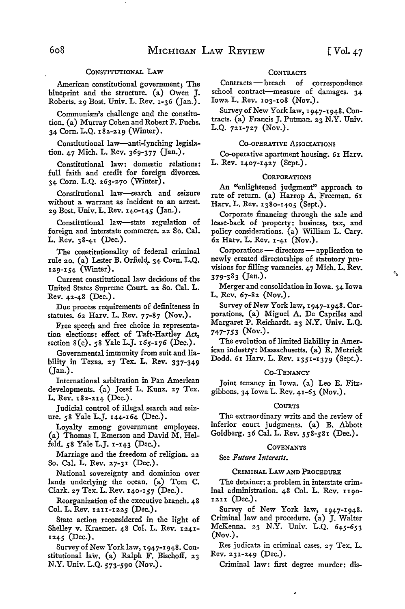$\mathcal{O}$ 

# CONSTITUTIONAL LAW

American constitutional government; The blueprint and the structure. (a) Owen J. Roberts. 29 Bost. Univ. L. Rev. 1-36 (Jan.).

Communism's challenge and the constitution. (a) Murray Cohen and Robert F. Fuchs. 34 Corn. L.Q. 182-219 (Winter).

Constitutional law-anti-lynching legislation. 47 Mich. L. Rev. 369-377 (Jan.).

Constitutional law: domestic relations: full faith and credit for foreign divorces. 34 Corn. L.Q. 263-270 (Winter).

Constitutional law--search and seizure without a warrant as incident to an arrest. 29 Bost. Univ. L. Rev. 140-145 (Jan.).

Constitutional law--state regulation of foreign and interstate commerce. 22 So. Cal. L. Rev. 38-41 (Dec.).

The constitutionality of federal criminal rule 20. (a) Lester B. Orfield, 34 Corn. L.Q. 129-154 (Winter).

Current constitutional law decisions of the United States Supreme Court. 22 So. Cal. L. Rev. 42-48 (Dec.).

Due process requirements of definiteness in statutes. 62 Harv. L. Rev. 77-87 (Nov.).

Free speech and free choice in representation elections: effect of Taft-Hartley Act, section 8(c). 58 Yale L.J. 165-176 (Dec.).

Governmental immunity from suit and liability in Texas. 27 Tex. **L. Rev.** 337-349 (Jan.).

International arbitration in Pan American developments. (a) Josef L. Kunz. 27 Tex. L. Rev. 182-214 (Dec.).

Judicial control of illegal search and seizure. 58 Yale L.J. 144-164 (Dec.).

Loyalty among government employees. (a) Thomas I. Emerson and David M. Helfeld. 58 Yale L.J. I-143 (Dec.).

Marriage and the freedom of religion. 22 So. Cal. L. Rev. 27-31 (Dec.).

National sovereignty and dominion over lands underlying the ocean. (a) Tom C. Clark. 27 Tex. L. Rev. 140-157 (Dec.).

Reorganization of the executive branch. 48 Col. L. Rev. 1211-1225 (Dec.).

State action reconsidered in the light of Shelley v. Kraemer. 48 Col. L. Rev. 1241- 1245 (Dec.).

Survey of New York law, 1947-1948. Constitutional law. (a) Ralph F. Bischoff. 23 N.Y. Univ. L.Q. *573-590* (Nov.).

# **CONTRACTS**

Contracts - breach of correspondence school contract-measure of damages. 34 Iowa L. Rev. 103-108 (Nov.).

Survey of New York law, 1947-1948. Contracts. (a) Francis J. Putman. 23 N.Y. Univ. L.Q. 721-727 (Nov.).

# CO-OPERATIVE ASSOCIATIONS

Co-operative apartment housing. 61 Harv. L. Rev. 1407-1427 (Sept.).

# **CORPORATIONS**

An "enlightened judgment" approach to rate of return. (a) Harrop A. Freeman. **61**  Harv. L. Rev. 1380-1405 (Sept.).

Corporate financing through the sale and lease-back of property: business, tax, and policy considerations. (a) William L. Cary. 62 Harv. L. Rev. 1-41 (Nov.).

 $Corporations — directions — application to$ newly created directorships of statutory provisions for filling vacancies. 47 Mich. L. Rev. 379-383 (Jan.).

Merger and consolidation in Iowa. 34 Iowa L. Rev. 67-82 (Nov.).

Survey of New York law, 1947-1948. Corporations. (a) Miguel A. De Capriles and Margaret P. Reichardt. 23 N.Y. Univ. L.Q. **747-753 (Nov.).** 

The evolution of limited liability in American industry: Massachusetts. (a) E. Merrick Dodd. 61 Harv. L. Rev. 1351-1379 (Sept.).

# Co-TENANCY

Joint tenancy in Iowa. (a) Leo E. Fitzgibbons. 34 Iowa L. Rev. 41-63 (Nov.).

#### **COURTS**

The extraordinary writs and the review of inferior court judgments. (a) B. Abbott Goldberg. 36 Cal. L. Rev. 558-581 (Dec.).

#### COVENANTS

See *Future Interests.* 

# CRIMINAL LAW AND PROCEDURE

The detainer: a problem in interstate criminal administration. 48 Col. L. Rev. 1190- 1211 (Dec.) .

Survey of New York law, 1947-1948. Criminal law and procedure. (a) J. Walter McKenna. 23 N.Y. Univ. L.Q. 645-653 (Nov.).

Res judicata in criminal cases. 27 Tex. L. Rev. 231-249 (Dec.).

Criminal law: first degree murder: dis-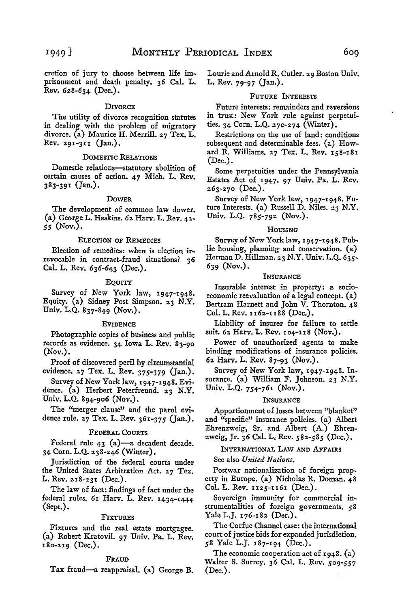cretion of jury to choose between life imprisonment and death penalty. 36 Cal. L. Rev. 628-634 (Dec.).

# **DIVORCE**

The utility of divorce recognition statutes in dealing with the problem of migratory divorce. (a) Maurice H. Merrill. 27 Tex. L. Rev. 291-3u (Jan.).

#### DOMESTIC RELATIONS

Domestic relations-statutory abolition of certain causes of action. 47 Mich. L. Rev. 383-391 (Jan.).

#### DOWER

The development of common law dower. (a) George L. Haskins. 62 Harv. L. Rev. 42- *55* (Nov.).

## ELECTION OF REMEDIES

Election of remedies: when is election irrevocable in contract-fraud situations? 36 Cal. L. Rev. 636-643 (Dec.).

# EQUITY

Survey of New York law, 1947-1948. Equity. (a) Sidney Post Simpson. 23 N.Y. Univ. L.Q. 837-849 (Nov.).

#### EVIDENCE

Photographic copies of business and public records as evidence. 34 Iowa L. Rev. 83-90 **(Nov.).** 

Proof of discovered peril by circumstantial evidence. 27 Tex. L. Rev. 375-379 (Jan.).

Survey of New York law, 1947-1948. Evidence. (a) Herbert Peterfreund. 23 **N.Y.**  Univ. L.Q. 894-906 (Nov.).

The "merger clause" and the parol evidence rule. 27 Tex. L. Rev. 361-375 (Jan.).

#### FEDERAL COURTS

Federal rule 43  $(a)$ -a decadent decade. 34 Corn. L.Q. 238-246 (Winter).

Jurisdiction of the federal courts under the United States Arbitration Act. 27 Tex. L. Rev. 218-231 (Dec.).

The law of fact: findings of fact under the federal rules. 61 Harv. L. Rev. 1434-1444 (Sept.).

#### FIXTURES

Fixtures and the real estate mortgagee. (a) Robert Kratovil. 97 Univ. Pa. L. Rev. 180-219 (Dec.).

### FRAUD

Tax: fraud-a reappraisal. (a) George B.

Lourie and Arnold R. Cutler. 29 Boston Univ. L. Rev. 79-97 (Jan.).

#### FUTURE INTERESTS

Future interests: remainders and reversions in trust: New York rule against perpetuities. 34 Corn. L.Q. 270-274 (Winter).

Restrictions on the use of land: conditions subsequent and determinable fees. {a) Howard R. Williams. 27 Tex. L. Rev. 158-181 (Dec.).

Some perpetuities under the Pennsylvania Estates Act of 1947. 97 Univ. Pa. L. Rev. 263-270 (Dec.).

Survey of New York law, 1947-1948. Future Interests. (a) Russell D. Niles. 23 N.Y. Univ. L.Q. 785-792 (Nov.).

# HOUSING

Survey of New York law, 1947-1948. Public housing, planning and conservation. (a) Herman D. Hillman. 23 N.Y. Univ. L.Q. 635- 639 (Nov.).

# INSURANCE

Insurable interest in property: a socioeconomic reevaluation of a legal concept. (a) Bertram Harnett and John V. Thornton. 48 Col. L. Rev. 1162-1188 (Dec.).

Liability of insurer for failure to settle suit. 62 Harv. L. Rev. 104-u8 (Nov.).

Power of unauthorized agents to make binding modifications of insurance policies. 62 Harv. L. Rev. 87-93 (Nov.).

Survey of New York law, 1947-1948. Insurance. (a) William F. Johnson. 23 N.Y. Univ. L.Q. 754-761 (Nov.).

# INSURANCE

Apportionment of losses between ''blanket" and "specific" insurance policies. (a) Albert Ehrenzweig, Sr. and Albert (A.) Ehrenzweig, Jr. 36 Cal. L. Rev. *582-585* (Dec.).

# INTERNATIONAL LAW AND AFFAIRS

See also *United Nations.* 

Postwar nationalization of foreign property in Europe. (a) Nicholas R. Doman. 48 Col. L. Rev. 1125-1161 (Dec.).

Sovereign immunity for commercial instrumentalities of foreign governments. *5* **8**  Yale L.J. 176-182 (Dec.).

The Corfue Channel case: the international court of justice bids for expanded jurisdiction. 58 Yale L.J. 187-194 (Dec.).

The economic cooperation act of 1948. (a) Walter S. Surrey. 36 Cal. L. Rev. *509-557*  (Dec.).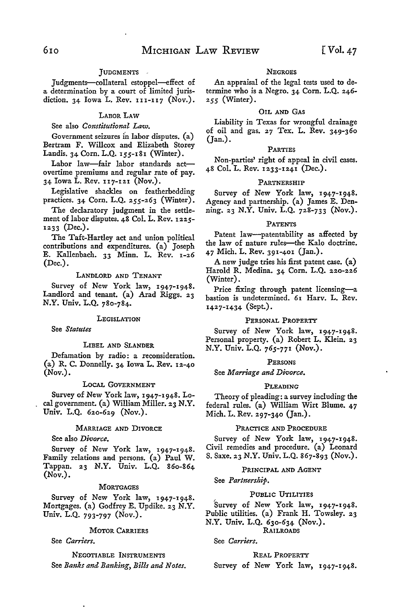# JUDGMENTS -

Judgments-collateral estoppel--effect of a determination by a court of limited jurisdiction. 34 Iowa L. Rev.  $111-117$  (Nov.).

#### LABOR LAW

# See also *Constitutional Law.*

Government seizures in labor disputes. (a) Bertram F. Willcox and Elizabeth Storey Landis. 34 Corn. L.Q. 155-181 (Winter).

Labor law-fair labor standards actovertime premiums and regular rate of pay. 34 Iowa L. Rev. u7-121 (Nov.).

Legislative shackles on featherbedding practices. 34 Corn. L.Q. 255-263 (Winter).

The declaratory judgment in the settlement of labor disputes. 48 Col. L. Rev. 1225- 1233 (Dec.).

The Taft-Hartley act and union political contributions and expenditures. (a) Joseph E. Kallenbach. 33 Minn. L. Rev. 1-26 (Dec.).

# LANDLORD AND TENANT

Survey of New York law, 1947-1948. Landlord and tenant. (a) Arad Riggs. 23 N.Y. Univ. L.Q. 780-784.

# **LEGISLATION**

See *Statutes* 

# LIBEL AND SLANDER

Defamation by radio: a reconsideration. (a) R. C. Donnelly. 34 Iowa L. Rev. 12-40 (Nov.).

#### LoCAL GOVERNMENT

Survey of New York law, 1947-1948. Local government. (a) William Miller. 23 N.Y. Univ. L.Q. 620-629 (Nov.).

# MARRIAGE AND DIVORCE

See also *Divorce.* 

Survey of New York law, 1947-1948. Family relations and persons. (a) Paul W. Tappan. 23 N.Y. Univ. L.Q. 860-864 (Nov.).

#### **MORTGAGES**

Survey of New York law, 1947-1948. Mortgages. (a) Godfrey E. Updike. 23 N.Y. Univ. L.Q. 793-797 (Nov.).

# MOTOR CARRIERS

See *Carriers.* 

NEGOTIABLE INSTRUMENTS See *Banks and Banking, Bills and Notes.* 

# **NEGROES**

An appraisal of the legal tests used to determine who is a Negro. 34 Corn. L.Q. 246- *255* (Winter).

# OIL AND GAS

Liability in Texas for wrongful drainage of oil and gas. 27 Tex. L. Rev. 349-360 (Jan.).

#### PARTIES

Non-parties' right of appeal in civil cases. 48 Col. L. Rev. 1233-1241 (Dec.).

#### PARTNERSHIP

Survey of New York law, 1947-1948. Agency and partnership. (a) James E. Denning. 23 N.Y. Univ. L.Q. 728-733 (Nov.).

#### PATENTS

Patent law-patentability as affected by the law of nature rules-the Kalo doctrine. 47 Mich. L. Rev. 391-401 (Jan.).

A new judge tries his first patent case. (a) Harold R. Medina. 34 Corn. L.Q. 220-226 (Winter).

Price fixing through patent licensing-a bastion is undetermined. 61 Harv. L. Rev. 1427-1434 (Sept.).

#### PERSONAL PROPERTY

Survey of New York law, 1947-1948. Personal property. (a) Robert L. Klein. 23 N.Y. Univ. L.Q. 765-771 (Nov.).

# PERSONS

See *Marriage and Divorce.* 

# PLEADING

Theory of pleading: a survey including the federal rules. (a) William Wirt Blume. 47 Mich. L. Rev. 297-340 (Jan.).

# PRACTICE AND PROCEDURE

Survey of New York law, 1947-1948. Civil remedies and procedure. (a) Leonard S. Saxe. 23 N.Y. Univ. L.Q. 867-893 (Nov.).

# PRINCIPAL AND AGENT

See *Partnership.* 

# PUBLIC UTILITIES

Survey of New York law, 1947-1948. Public utilities. (a) Frank H. Towsley. 23

# N.Y. Univ. L.Q. 630-634 (Nov.).

RAILROADS

See *Carriers.* 

# REAL PROPERTY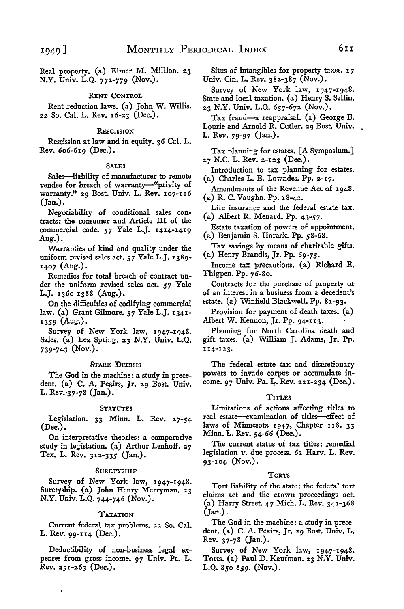Real property. (a) Elmer M. Million. 23 N.Y. Univ. L.Q. 772-779 (Nov.).

# RENT CONTROL

Rent reduction laws. (a) John W. Willis. 22 So. Cal. L. Rev. 16-23 (Dec.).

#### **RESCISSION**

Rescission at law and in equity. 36 Cal. L. Rev. 606-619 (Dec.).

## SALES

Sales-liability of manufacturer to remote vendee for breach of warranty-"privity of warranty." 29 Bost. Univ. L. Rev. 107-116 (Jan.).

Negotiability of conditional sales contracts: the consumer and Article III of the commercial code. *57* Yale L.J. 1414-1419 Aug.).

Warranties of kind and quality under the uniform revised sales act. *57* Yale L.J. 1389- 1407 (Aug.).

Remedies for total breach of contract under the uniform revised sales act. *57* Yale L.J. 1360-1388 (Aug.).

On the difficulties of codifying commercial law. (a) Grant Gilmore. *57* Yale L.J. 1341- 1359 (Aug.).

Survey of New York law, 1947-1948. Sales. (a) Lea Spring. 23 N.Y. Univ. L.Q. 739-743 (Nov.).

# STARE DECISIS

The God in the machine: a study in precedent. (a) C. A. Peairs, Jr. 29 Bost. Univ. L. Rev. 37-78 (Jan.).

#### STATUTES

Legislation. 33 Minn. L. Rev. 27-54 (Dec.).

On interpretative theories: a comparative study in legislation. (a) Arthur Lenhoff. 27 Tex. L. Rev. 312-335 (Jan.).

#### SURETYSHIP

Survey of New York law, 1947-1948. Suretyship. (a) John Henry Merryman. 23 **N.Y.** Univ. L.Q. 744-746 (Nov.).

# TAXATION

Current federal tax problems. 22 So. Cal. L. Rev. 99-114 (Dec.).

Deductibility of non-business legal expenses from gross income. 97 Univ. Pa. L. Rev. 251-263 (Dec.).

i,

Situs of intangibles for property taxes. 17 Univ. Cin. L. Rev. 382-387 (Nov.).

Survey of New York law, 1947-1948. State and local taxation. (a) Henry S. Sellin. 23 N.Y. Univ. L.Q. 657-672 (Nov.).

Tax fraud-a reappraisal. (a) George B. Lourie and Arnold R. Cutler. 29 Bost. Univ. L. Rev. 79-97 (Jan.).

Tax planning for estates. [A Symposium.] 27 N.C. L. Rev. 2-123 (Dec.).

Introduction to tax planning for estates. (a) Charles L.B. Lowndes. Pp. 2-17.

Amendments of the Revenue Act of 1948. (a) R. C. Vaughn. Pp. 18-42.

Life insurance and the federal estate tax. (a) Albert R. Menard. Pp. 43-57.

Estate taxation of powers of appointment. (a) Benjamin S. Horack. Pp. 58-68.

Tax savings by means of charitable gifts. (a) Henry Brandis, Jr. Pp. *69-75.* 

Income tax precautions. (a) Richard E. Thigpen. Pp. 76-80.

Contracts for the purchase of property or of an interest in a business from a decedent's estate. (a) Winfield Blackwell. Pp. 81-93.

Provision for payment of death taxes. (a) Albert W. Kennon, Jr. Pp. 94-113.

Planning for North Carolina death and gift taxes. (a) William J. Adams, Jr. Pp. u4-123.

The federal estate tax and discretionary powers to invade corpus or accumulate income. 97 Univ. Pa. L. Rev. 221-234 (Dec.).

#### TITLES

Limitations of actions affecting titles to real estate--examination of titles-effect of laws of Minnesota 1947, Chapter 118. 33 Minn. L. Rev. 54-66 (Dec.).

The current status of tax titles: remedial legislation v. due process. 62 Harv. L. Rev. 93-104 (Nov.).

#### TORTS

Tort liability of the state: the federal tort claims act and the crown proceedings act. (a) Harry Street. 47 Mich. L. Rev. 341-368 (Jan.).

The God in the machine: a study in precedent. (a) C. A. Peairs, Jr. 29 Bost. Univ. L. Rev. 37-78 (Jan.).

Survey of New York law, 1947-1948. Torts. (a) Paul D. Kaufman. 23 N.Y. Univ. L.Q. 850-859. (Nov.).